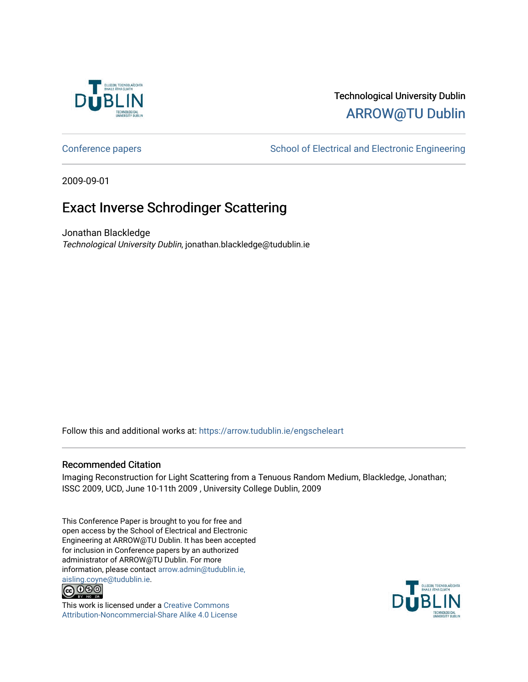

# Technological University Dublin [ARROW@TU Dublin](https://arrow.tudublin.ie/)

[Conference papers](https://arrow.tudublin.ie/engscheleart) **School of Electrical and Electronic Engineering** 

2009-09-01

# Exact Inverse Schrodinger Scattering

Jonathan Blackledge Technological University Dublin, jonathan.blackledge@tudublin.ie

Follow this and additional works at: [https://arrow.tudublin.ie/engscheleart](https://arrow.tudublin.ie/engscheleart?utm_source=arrow.tudublin.ie%2Fengscheleart%2F156&utm_medium=PDF&utm_campaign=PDFCoverPages) 

## Recommended Citation

Imaging Reconstruction for Light Scattering from a Tenuous Random Medium, Blackledge, Jonathan; ISSC 2009, UCD, June 10-11th 2009 , University College Dublin, 2009

This Conference Paper is brought to you for free and open access by the School of Electrical and Electronic Engineering at ARROW@TU Dublin. It has been accepted for inclusion in Conference papers by an authorized administrator of ARROW@TU Dublin. For more information, please contact [arrow.admin@tudublin.ie,](mailto:arrow.admin@tudublin.ie,%20aisling.coyne@tudublin.ie)  [aisling.coyne@tudublin.ie.](mailto:arrow.admin@tudublin.ie,%20aisling.coyne@tudublin.ie)<br>© 090



This work is licensed under a [Creative Commons](http://creativecommons.org/licenses/by-nc-sa/4.0/) [Attribution-Noncommercial-Share Alike 4.0 License](http://creativecommons.org/licenses/by-nc-sa/4.0/)

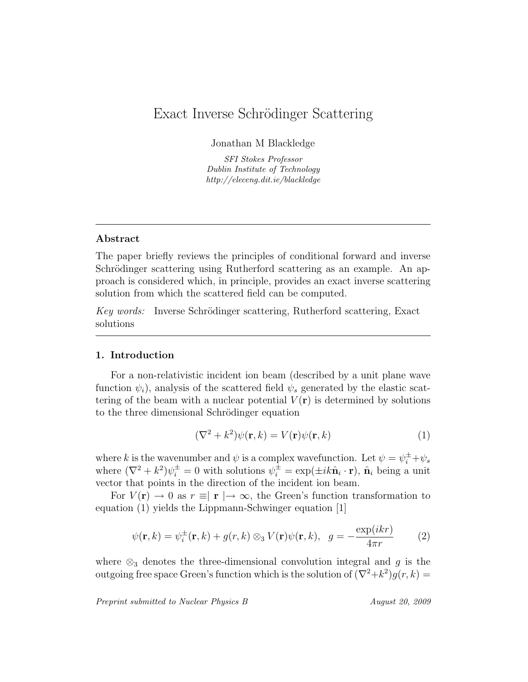# Exact Inverse Schrödinger Scattering

Jonathan M Blackledge

SFI Stokes Professor Dublin Institute of Technology http://eleceng.dit.ie/blackledge

### Abstract

The paper briefly reviews the principles of conditional forward and inverse Schrödinger scattering using Rutherford scattering as an example. An approach is considered which, in principle, provides an exact inverse scattering solution from which the scattered field can be computed.

Key words: Inverse Schrödinger scattering, Rutherford scattering, Exact solutions

### 1. Introduction

For a non-relativistic incident ion beam (described by a unit plane wave function  $\psi_i$ ), analysis of the scattered field  $\psi_s$  generated by the elastic scattering of the beam with a nuclear potential  $V(\mathbf{r})$  is determined by solutions to the three dimensional Schrödinger equation

$$
(\nabla^2 + k^2)\psi(\mathbf{r}, k) = V(\mathbf{r})\psi(\mathbf{r}, k)
$$
\n(1)

where k is the wavenumber and  $\psi$  is a complex wavefunction. Let  $\psi = \psi_i^{\pm} + \psi_s$ where  $(\nabla^2 + k^2)\psi_i^{\pm} = 0$  with solutions  $\psi_i^{\pm} = \exp(\pm i k \hat{\mathbf{n}}_i \cdot \mathbf{r})$ ,  $\hat{\mathbf{n}}_i$  being a unit vector that points in the direction of the incident ion beam.

For  $V(\mathbf{r}) \to 0$  as  $r \equiv |\mathbf{r}| \to \infty$ , the Green's function transformation to equation (1) yields the Lippmann-Schwinger equation [1]

$$
\psi(\mathbf{r},k) = \psi_i^{\pm}(\mathbf{r},k) + g(r,k) \otimes_3 V(\mathbf{r}) \psi(\mathbf{r},k), \ \ g = -\frac{\exp(ikr)}{4\pi r} \tag{2}
$$

where  $\otimes_3$  denotes the three-dimensional convolution integral and g is the outgoing free space Green's function which is the solution of  $(\nabla^2 + k^2)g(r, k) =$ 

Preprint submitted to Nuclear Physics B August 20, 2009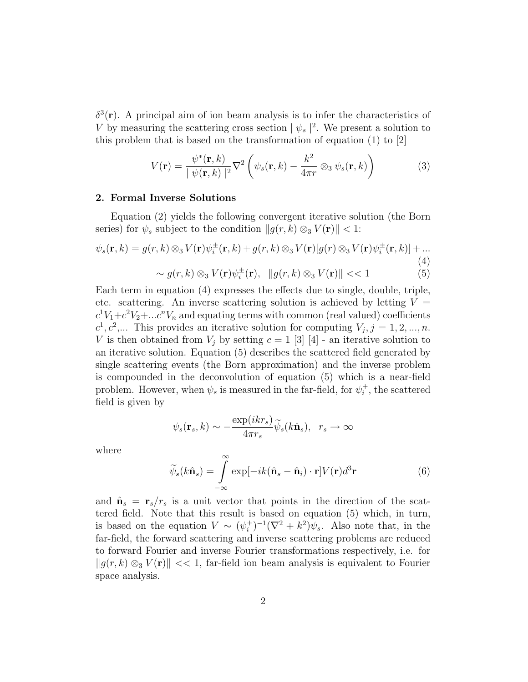$\delta^3(\mathbf{r})$ . A principal aim of ion beam analysis is to infer the characteristics of V by measuring the scattering cross section  $|\psi_s|^2$ . We present a solution to this problem that is based on the transformation of equation (1) to [2]

$$
V(\mathbf{r}) = \frac{\psi^*(\mathbf{r},k)}{|\psi(\mathbf{r},k)|^2} \nabla^2 \left( \psi_s(\mathbf{r},k) - \frac{k^2}{4\pi r} \otimes_3 \psi_s(\mathbf{r},k) \right)
$$
(3)

#### 2. Formal Inverse Solutions

Equation (2) yields the following convergent iterative solution (the Born series) for  $\psi_s$  subject to the condition  $||g(r, k) \otimes_3 V(\mathbf{r})|| < 1$ :

$$
\psi_s(\mathbf{r},k) = g(r,k) \otimes_3 V(\mathbf{r}) \psi_i^{\pm}(\mathbf{r},k) + g(r,k) \otimes_3 V(\mathbf{r}) [g(r) \otimes_3 V(\mathbf{r}) \psi_i^{\pm}(\mathbf{r},k)] + \dots
$$
\n
$$
\sim g(r,k) \otimes_3 V(\mathbf{r}) \psi_i^{\pm}(\mathbf{r}), \quad ||g(r,k) \otimes_3 V(\mathbf{r})|| << 1 \tag{5}
$$

Each term in equation (4) expresses the effects due to single, double, triple, etc. scattering. An inverse scattering solution is achieved by letting  $V =$  $c^1V_1+c^2V_2+\dots c^nV_n$  and equating terms with common (real valued) coefficients  $c^1, c^2,...$  This provides an iterative solution for computing  $V_j, j = 1, 2, ..., n$ . V is then obtained from  $V_j$  by setting  $c = 1$  [3] [4] - an iterative solution to an iterative solution. Equation (5) describes the scattered field generated by single scattering events (the Born approximation) and the inverse problem is compounded in the deconvolution of equation (5) which is a near-field problem. However, when  $\psi_s$  is measured in the far-field, for  $\psi_i^+$  $i<sub>i</sub>$ , the scattered field is given by

$$
\psi_s(\mathbf{r}_s, k) \sim -\frac{\exp(ikr_s)}{4\pi r_s} \widetilde{\psi}_s(k\hat{\mathbf{n}}_s), \quad r_s \to \infty
$$

where

$$
\widetilde{\psi}_s(k\hat{\mathbf{n}}_s) = \int_{-\infty}^{\infty} \exp[-ik(\hat{\mathbf{n}}_s - \hat{\mathbf{n}}_i) \cdot \mathbf{r}] V(\mathbf{r}) d^3 \mathbf{r}
$$
\n(6)

and  $\hat{\mathbf{n}}_s = \mathbf{r}_s/r_s$  is a unit vector that points in the direction of the scattered field. Note that this result is based on equation (5) which, in turn, is based on the equation  $V \sim (\psi_i^+$  $j_i^+$ )<sup>-1</sup>( $\nabla^2 + k^2$ ) $\psi_s$ . Also note that, in the far-field, the forward scattering and inverse scattering problems are reduced to forward Fourier and inverse Fourier transformations respectively, i.e. for  $||g(r, k) \otimes_3 V(\mathbf{r})|| \ll 1$ , far-field ion beam analysis is equivalent to Fourier space analysis.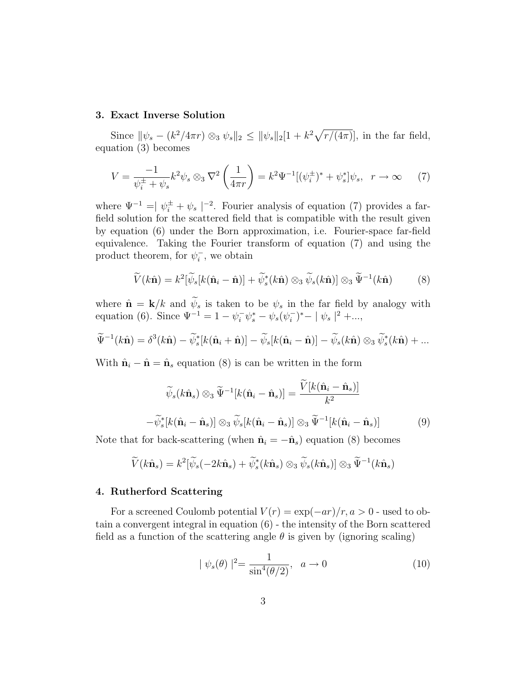#### 3. Exact Inverse Solution

Since  $\|\psi_s - (k^2/4\pi r) \otimes_3 \psi_s\|_2 \leq \|\psi_s\|_2 [1 + k^2 \sqrt{r/(4\pi)}],$  in the far field, equation (3) becomes

$$
V = \frac{-1}{\psi_i^{\pm} + \psi_s} k^2 \psi_s \otimes_3 \nabla^2 \left(\frac{1}{4\pi r}\right) = k^2 \Psi^{-1} [(\psi_i^{\pm})^* + \psi_s^*] \psi_s, \ \ r \to \infty \tag{7}
$$

where  $\Psi^{-1} = |\psi_i^{\pm} + \psi_s|^{-2}$ . Fourier analysis of equation (7) provides a farfield solution for the scattered field that is compatible with the result given by equation (6) under the Born approximation, i.e. Fourier-space far-field equivalence. Taking the Fourier transform of equation (7) and using the product theorem, for  $\psi_i^ \overline{i}$ , we obtain

$$
\widetilde{V}(k\hat{\mathbf{n}}) = k^2 [\widetilde{\psi}_s[k(\hat{\mathbf{n}}_i - \hat{\mathbf{n}})] + \widetilde{\psi}_s^*(k\hat{\mathbf{n}}) \otimes_3 \widetilde{\psi}_s(k\hat{\mathbf{n}})] \otimes_3 \widetilde{\Psi}^{-1}(k\hat{\mathbf{n}})
$$
(8)

where  $\hat{\mathbf{n}} = \mathbf{k}/k$  and  $\psi_s$  is taken to be  $\psi_s$  in the far field by analogy with equation (6). Since  $\Psi^{-1} = 1 - \psi_i^-\psi_s^* - \psi_s(\psi_i^-)$  $\binom{(-)}{i}$ \* –  $|\psi_s|^{2}$  +...,

$$
\widetilde{\Psi}^{-1}(k\hat{\mathbf{n}}) = \delta^3(k\hat{\mathbf{n}}) - \widetilde{\psi}_s^*[k(\hat{\mathbf{n}}_i + \hat{\mathbf{n}})] - \widetilde{\psi}_s[k(\hat{\mathbf{n}}_i - \hat{\mathbf{n}})] - \widetilde{\psi}_s(k\hat{\mathbf{n}})\otimes_3 \widetilde{\psi}_s^*(k\hat{\mathbf{n}}) + \dots
$$

With  $\hat{\mathbf{n}}_i - \hat{\mathbf{n}} = \hat{\mathbf{n}}_s$  equation (8) is can be written in the form

$$
\widetilde{\psi}_s(k\hat{\mathbf{n}}_s) \otimes_3 \widetilde{\Psi}^{-1}[k(\hat{\mathbf{n}}_i - \hat{\mathbf{n}}_s)] = \frac{\widetilde{V}[k(\hat{\mathbf{n}}_i - \hat{\mathbf{n}}_s)]}{k^2}
$$

$$
-\widetilde{\psi}_s^*[k(\hat{\mathbf{n}}_i - \hat{\mathbf{n}}_s)] \otimes_3 \widetilde{\psi}_s[k(\hat{\mathbf{n}}_i - \hat{\mathbf{n}}_s)] \otimes_3 \widetilde{\Psi}^{-1}[k(\hat{\mathbf{n}}_i - \hat{\mathbf{n}}_s)] \tag{9}
$$

Note that for back-scattering (when  $\hat{\mathbf{n}}_i = -\hat{\mathbf{n}}_s$ ) equation (8) becomes

$$
\widetilde{V}(k\hat{\mathbf{n}}_s) = k^2[\widetilde{\psi}_s(-2k\hat{\mathbf{n}}_s) + \widetilde{\psi}_s^*(k\hat{\mathbf{n}}_s) \otimes_3 \widetilde{\psi}_s(k\hat{\mathbf{n}}_s)] \otimes_3 \widetilde{\Psi}^{-1}(k\hat{\mathbf{n}}_s)
$$

#### 4. Rutherford Scattering

For a screened Coulomb potential  $V(r) = \exp(-ar)/r, a > 0$  - used to obtain a convergent integral in equation (6) - the intensity of the Born scattered field as a function of the scattering angle  $\theta$  is given by (ignoring scaling)

$$
|\psi_s(\theta)|^2 = \frac{1}{\sin^4(\theta/2)}, \ \ a \to 0
$$
 (10)